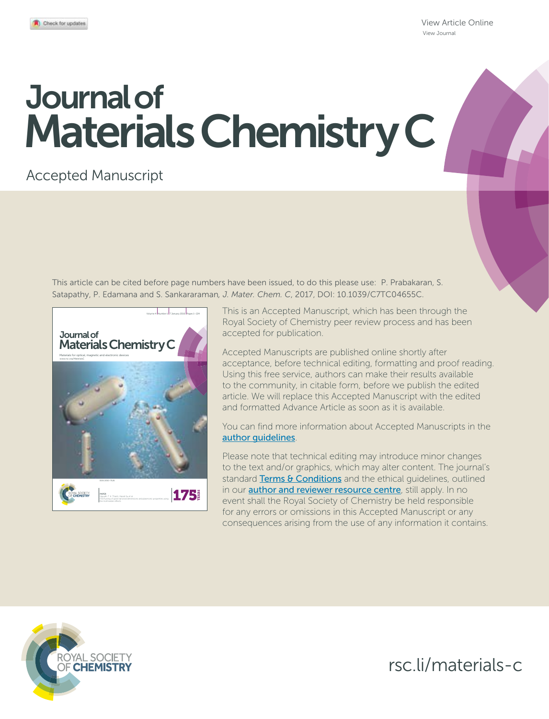View Article Online View Journal

# Journal of Materials Chemistry C

## Accepted Manuscript

This article can be cited before page numbers have been issued, to do this please use: P. Prabakaran, S. Satapathy, P. Edamana and S. Sankararaman*, J. Mater. Chem. C*, 2017, DOI: 10.1039/C7TC04655C.



This is an Accepted Manuscript, which has been through the Royal Society of Chemistry peer review process and has been accepted for publication.

Accepted Manuscripts are published online shortly after acceptance, before technical editing, formatting and proof reading. Using this free service, authors can make their results available to the community, in citable form, before we publish the edited article. We will replace this Accepted Manuscript with the edited and formatted Advance Article as soon as it is available.

You can find more information about Accepted Manuscripts in the author guidelines.

Please note that technical editing may introduce minor changes to the text and/or graphics, which may alter content. The journal's standard Terms & Conditions and the ethical quidelines, outlined in our **author and reviewer resource centre**, still apply. In no event shall the Royal Society of Chemistry be held responsible for any errors or omissions in this Accepted Manuscript or any consequences arising from the use of any information it contains.



rsc.li/materials-c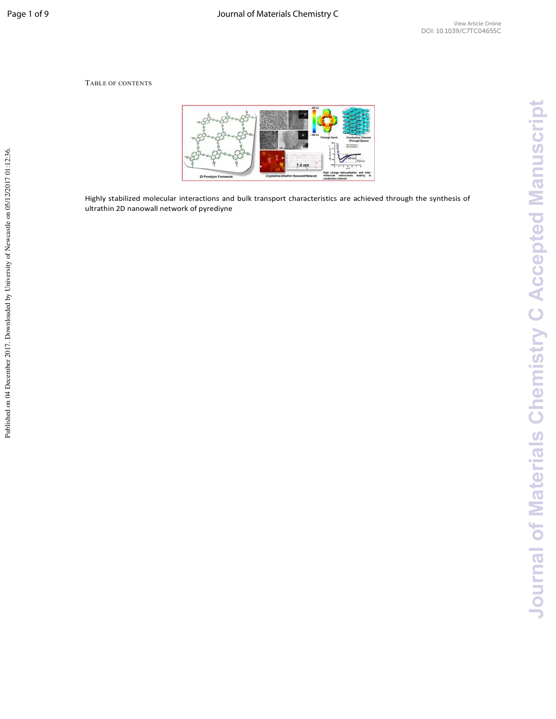#### TABLE OF CONTENTS



Highly stabilized molecular interactions and bulk transport characteristics are achieved through the synthesis of ultrathin 2D nanowall network of pyrediyne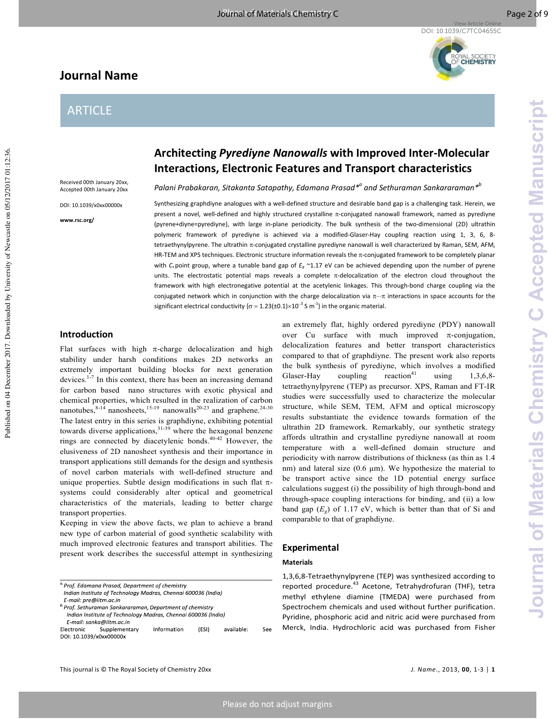## **Journal Name**

## ARTICLE

Received 00th January 20xx, Accepted 00th January 20xx

DOI: 10.1039/x0xx00000x

**www.rsc.org/** 

**Architecting** *Pyrediyne Nanowalls* **with Improved Inter-Molecular Interactions, Electronic Features and Transport characteristics** 

*Palani Prabakaran, Sitakanta Satapathy, Edamana Prasad\*<sup>a</sup> and Sethuraman Sankararaman\*<sup>b</sup>*

Synthesizing graphdiyne analogues with a well-defined structure and desirable band gap is a challenging task. Herein, we present a novel, well-defined and highly structured crystalline π-conjugated nanowall framework, named as pyrediyne (pyrene+diyne=pyrediyne), with large in-plane periodicity. The bulk synthesis of the two-dimensional (2D) ultrathin polymeric framework of pyrediyne is achieved via a modified-Glaser-Hay coupling reaction using 1, 3, 6, 8 tetraethynylpyrene. The ultrathin π-conjugated crystalline pyrediyne nanowall is well characterized by Raman, SEM, AFM, HR-TEM and XPS techniques. Electronic structure information reveals the π-conjugated framework to be completely planar with *C<sup>s</sup>* point group, where a tunable band gap of *Eg* ~1.17 eV can be achieved depending upon the number of pyrene units. The electrostatic potential maps reveals a complete π-delocalization of the electron cloud throughout the framework with high electronegative potential at the acetylenic linkages. This through-bond charge coupling via the conjugated network which in conjunction with the charge delocalization via  $\pi\cdots\pi$  interactions in space accounts for the significant electrical conductivity { $\sigma$  = 1.23(±0.1)×10<sup>-3</sup> S m<sup>-1</sup>} in the organic material.

#### **Introduction**

Flat surfaces with high  $\pi$ -charge delocalization and high stability under harsh conditions makes 2D networks an extremely important building blocks for next generation devices.<sup>1-7</sup> In this context, there has been an increasing demand for carbon based nano structures with exotic physical and chemical properties, which resulted in the realization of carbon nanotubes,  $8-14$  nanosheets,  $15-19$  nanowalls<sup>20-23</sup> and graphene.<sup>24-30</sup> The latest entry in this series is graphdiyne, exhibiting potential towards diverse applications,  $31-39$  where the hexagonal benzene rings are connected by diacetylenic bonds.<sup>40-42</sup> However, the elusiveness of 2D nanosheet synthesis and their importance in transport applications still demands for the design and synthesis of novel carbon materials with well-defined structure and unique properties. Subtle design modifications in such flat  $\pi$ systems could considerably alter optical and geometrical characteristics of the materials, leading to better charge transport properties.

Keeping in view the above facts, we plan to achieve a brand new type of carbon material of good synthetic scalability with much improved electronic features and transport abilities. The present work describes the successful attempt in synthesizing

DOI: 10.1039/x0xx00000x

an extremely flat, highly ordered pyrediyne (PDY) nanowall over Cu surface with much improved  $\pi$ -conjugation, delocalization features and better transport characteristics compared to that of graphdiyne. The present work also reports the bulk synthesis of pyrediyne, which involves a modified Glaser-Hay co coupling reaction $41$ using  $1,3,6,8$ tetraethynylpyrene (TEP) as precursor. XPS, Raman and FT-IR studies were successfully used to characterize the molecular structure, while SEM, TEM, AFM and optical microscopy results substantiate the evidence towards formation of the ultrathin 2D framework. Remarkably, our synthetic strategy affords ultrathin and crystalline pyrediyne nanowall at room temperature with a well-defined domain structure and periodicity with narrow distributions of thickness (as thin as 1.4 nm) and lateral size  $(0.6 \mu m)$ . We hypothesize the material to be transport active since the 1D potential energy surface calculations suggest (i) the possibility of high through-bond and through-space coupling interactions for binding, and (ii) a low band gap  $(E_g)$  of 1.17 eV, which is better than that of Si and comparable to that of graphdiyne.

#### **Experimental**

#### **Materials**

1,3,6,8-Tetraethynylpyrene (TEP) was synthesized according to reported procedure.<sup>43</sup> Acetone, Tetrahydrofuran (THF), tetra methyl ethylene diamine (TMEDA) were purchased from Spectrochem chemicals and used without further purification. Pyridine, phosphoric acid and nitric acid were purchased from Merck, India. Hydrochloric acid was purchased from Fisher

 $S_{\mathsf{PP}}$ 

<sup>&</sup>lt;sup>a.</sup> Prof. Edamana Prasad, Department of chemistry Indian Institute of Technology Madras, Chennai 600036 (India) E-mail: pre@iitm.ac.in

<sup>&</sup>lt;sup>b.</sup> Prof. Sethuraman Sankararaman, Department of chemistry Indian Institute of Technology Madras, Chennai 600036 (India)

E-mail: sanka@iitm.ac.in Electronic Supplementary Information  $(ESI)$ available<sup>.</sup>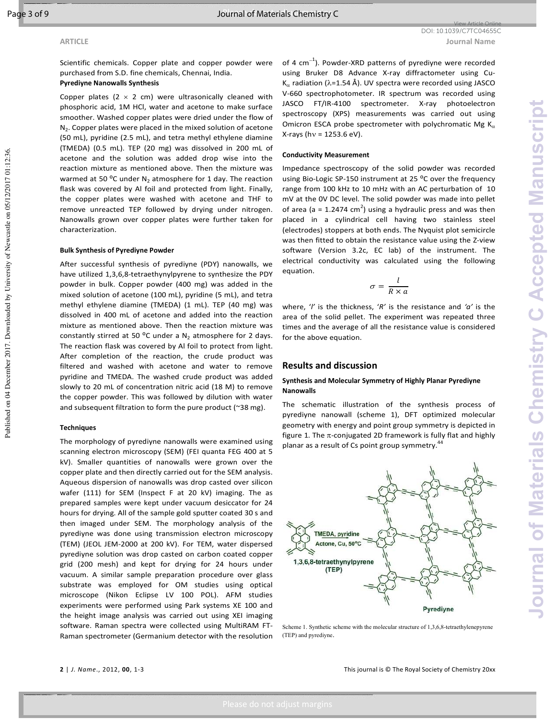Published on 04 December 2017. Downloaded by University of Newcastle on 05/12/2017 01:12:36

Scientific chemicals. Copper plate and copper powder were purchased from S.D. fine chemicals, Chennai, India.

### **Pyrediyne Nanowalls Synthesis**

Copper plates ( $2 \times 2$  cm) were ultrasonically cleaned with phosphoric acid, 1M HCl, water and acetone to make surface smoother. Washed copper plates were dried under the flow of  $N_2$ . Copper plates were placed in the mixed solution of acetone (50 mL), pyridine (2.5 mL), and tetra methyl ethylene diamine (TMEDA) (0.5 mL). TEP (20 mg) was dissolved in 200 mL of acetone and the solution was added drop wise into the reaction mixture as mentioned above. Then the mixture was warmed at 50 °C under  $N_2$  atmosphere for 1 day. The reaction flask was covered by Al foil and protected from light. Finally, the copper plates were washed with acetone and THF to remove unreacted TEP followed by drying under nitrogen. Nanowalls grown over copper plates were further taken for characterization.

#### **Bulk Synthesis of Pyrediyne Powder**

After successful synthesis of pyrediyne (PDY) nanowalls, we have utilized 1,3,6,8-tetraethynylpyrene to synthesize the PDY powder in bulk. Copper powder (400 mg) was added in the mixed solution of acetone (100 mL), pyridine (5 mL), and tetra methyl ethylene diamine (TMEDA) (1 mL). TEP (40 mg) was dissolved in 400 mL of acetone and added into the reaction mixture as mentioned above. Then the reaction mixture was constantly stirred at 50  $^{\circ}$ C under a N<sub>2</sub> atmosphere for 2 days. The reaction flask was covered by Al foil to protect from light. After completion of the reaction, the crude product was filtered and washed with acetone and water to remove pyridine and TMEDA. The washed crude product was added slowly to 20 mL of concentration nitric acid (18 M) to remove the copper powder. This was followed by dilution with water and subsequent filtration to form the pure product (~38 mg).

#### **Techniques**

The morphology of pyrediyne nanowalls were examined using scanning electron microscopy (SEM) (FEI quanta FEG 400 at 5 kV). Smaller quantities of nanowalls were grown over the copper plate and then directly carried out for the SEM analysis. Aqueous dispersion of nanowalls was drop casted over silicon wafer (111) for SEM (Inspect F at 20 kV) imaging. The as prepared samples were kept under vacuum desiccator for 24 hours for drying. All of the sample gold sputter coated 30 s and then imaged under SEM. The morphology analysis of the pyrediyne was done using transmission electron microscopy (TEM) (JEOL JEM-2000 at 200 kV). For TEM, water dispersed pyrediyne solution was drop casted on carbon coated copper grid (200 mesh) and kept for drying for 24 hours under vacuum. A similar sample preparation procedure over glass substrate was employed for OM studies using optical microscope (Nikon Eclipse LV 100 POL). AFM studies experiments were performed using Park systems XE 100 and the height image analysis was carried out using XEI imaging software. Raman spectra were collected using MultiRAM FT-Raman spectrometer (Germanium detector with the resolution

of 4 cm<sup>-1</sup>). Powder-XRD patterns of pyrediyne were recorded using Bruker D8 Advance X-ray diffractometer using Cu-K<sub>α</sub> radiation ( $λ=1.54$  Å). UV spectra were recorded using JASCO V-660 spectrophotometer. IR spectrum was recorded using JASCO FT/IR-4100 spectrometer. X-ray photoelectron spectroscopy (XPS) measurements was carried out using Omicron ESCA probe spectrometer with polychromatic Mg  $K_{\alpha}$ X-rays (hν = 1253.6 eV).

#### **Conductivity Measurement**

Impedance spectroscopy of the solid powder was recorded using Bio-Logic SP-150 instrument at 25 °C over the frequency range from 100 kHz to 10 mHz with an AC perturbation of 10 mV at the 0V DC level. The solid powder was made into pellet of area (a = 1.2474 cm<sup>2</sup>) using a hydraulic press and was then placed in a cylindrical cell having two stainless steel (electrodes) stoppers at both ends. The Nyquist plot semicircle was then fitted to obtain the resistance value using the Z-view software (Version 3.2c, EC lab) of the instrument. The electrical conductivity was calculated using the following equation.

$$
\sigma = \frac{l}{R \times a}
$$

where, '*l'* is the thickness, '*R'* is the resistance and *'a'* is the area of the solid pellet. The experiment was repeated three times and the average of all the resistance value is considered for the above equation.

#### **Results and discussion**

#### **Synthesis and Molecular Symmetry of Highly Planar Pyrediyne Nanowalls**

The schematic illustration of the synthesis process of pyrediyne nanowall (scheme 1), DFT optimized molecular geometry with energy and point group symmetry is depicted in figure 1. The  $\pi$ -conjugated 2D framework is fully flat and highly planar as a result of Cs point group symmetry.<sup>44</sup>



Scheme 1. Synthetic scheme with the molecular structure of  $1,3,6,8$ -tetraethylenepyrene (TEP) and pyrediyne.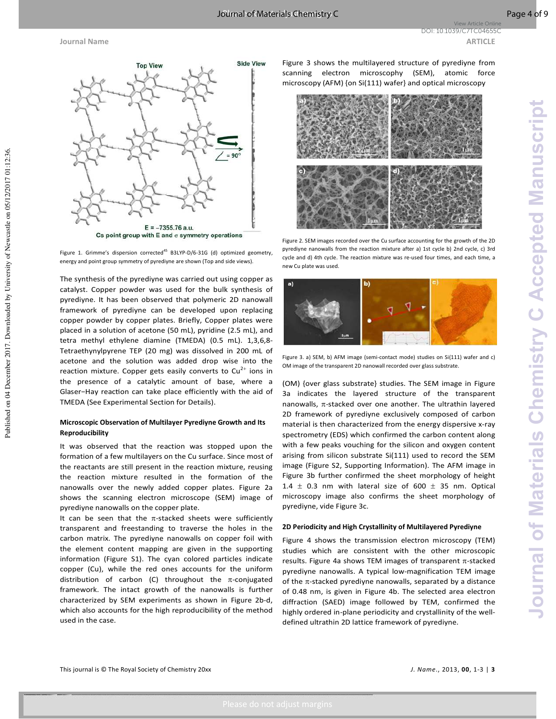Published on 04 December 2017. Downloaded by University of Newcastle on 05/12/2017 01:12:36

**Journal Name ARTICLE ARTICLE** View Article Online DOI: 10.1039/C7TC04655C



Figure 1. Grimme's dispersion corrected<sup>45</sup> B3LYP-D/6-31G (d) optimized geometry,

energy and point group symmetry of pyrediyne are shown (Top and side views).

The synthesis of the pyrediyne was carried out using copper as catalyst. Copper powder was used for the bulk synthesis of pyrediyne. It has been observed that polymeric 2D nanowall framework of pyrediyne can be developed upon replacing copper powder by copper plates. Briefly, Copper plates were placed in a solution of acetone (50 mL), pyridine (2.5 mL), and tetra methyl ethylene diamine (TMEDA) (0.5 mL). 1,3,6,8- Tetraethynylpyrene TEP (20 mg) was dissolved in 200 mL of acetone and the solution was added drop wise into the reaction mixture. Copper gets easily converts to  $Cu^{2+}$  ions in the presence of a catalytic amount of base, where a Glaser−Hay reaction can take place efficiently with the aid of TMEDA (See Experimental Section for Details).

#### **Microscopic Observation of Multilayer Pyrediyne Growth and Its Reproducibility**

It was observed that the reaction was stopped upon the formation of a few multilayers on the Cu surface. Since most of the reactants are still present in the reaction mixture, reusing the reaction mixture resulted in the formation of the nanowalls over the newly added copper plates. Figure 2a shows the scanning electron microscope (SEM) image of pyrediyne nanowalls on the copper plate.

It can be seen that the  $\pi$ -stacked sheets were sufficiently transparent and freestanding to traverse the holes in the carbon matrix. The pyrediyne nanowalls on copper foil with the element content mapping are given in the supporting information (Figure S1). The cyan colored particles indicate copper (Cu), while the red ones accounts for the uniform distribution of carbon (C) throughout the  $\pi$ -conjugated framework. The intact growth of the nanowalls is further characterized by SEM experiments as shown in Figure 2b-d, which also accounts for the high reproducibility of the method used in the case.

Figure 3 shows the multilayered structure of pyrediyne from scanning electron microscophy (SEM), atomic force microscopy (AFM) {on Si(111) wafer} and optical microscopy



Figure 2. SEM images recorded over the Cu surface accounting for the growth of the 2D pyrediyne nanowalls from the reaction mixture after a) 1st cycle b) 2nd cycle, c) 3rd cycle and d) 4th cycle. The reaction mixture was re-used four times, and each time, a new Cu plate was used.



Figure 3. a) SEM, b) AFM image (semi-contact mode) studies on Si(111) wafer and c) OM image of the transparent 2D nanowall recorded over glass substrate.

(OM) {over glass substrate} studies. The SEM image in Figure 3a indicates the layered structure of the transparent nanowalls,  $\pi$ -stacked over one another. The ultrathin layered 2D framework of pyrediyne exclusively composed of carbon material is then characterized from the energy dispersive x-ray spectrometry (EDS) which confirmed the carbon content along with a few peaks vouching for the silicon and oxygen content arising from silicon substrate Si(111) used to record the SEM image (Figure S2, Supporting Information). The AFM image in Figure 3b further confirmed the sheet morphology of height 1.4  $\pm$  0.3 nm with lateral size of 600  $\pm$  35 nm. Optical microscopy image also confirms the sheet morphology of pyrediyne, vide Figure 3c.

#### **2D Periodicity and High Crystallinity of Multilayered Pyrediyne**

Figure 4 shows the transmission electron microscopy (TEM) studies which are consistent with the other microscopic results. Figure 4a shows TEM images of transparent  $\pi$ -stacked pyrediyne nanowalls. A typical low-magnification TEM image of the  $\pi$ -stacked pyrediyne nanowalls, separated by a distance of 0.48 nm, is given in Figure 4b. The selected area electron diffraction (SAED) image followed by TEM, confirmed the highly ordered in-plane periodicity and crystallinity of the welldefined ultrathin 2D lattice framework of pyrediyne.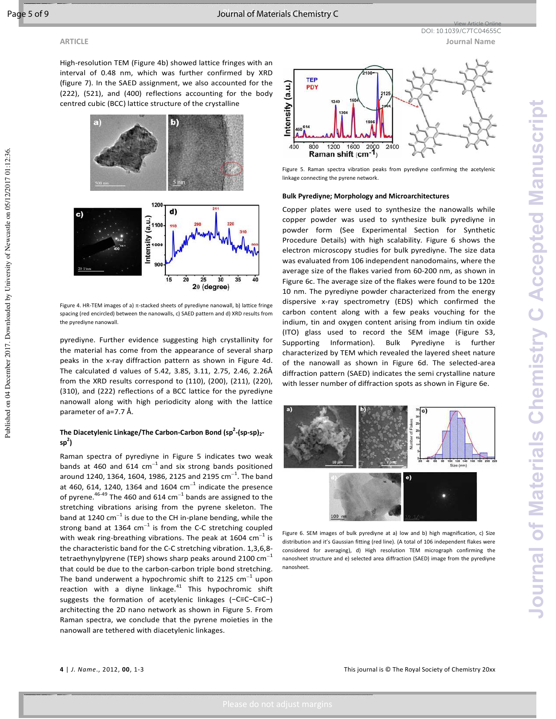Published on 04 December 2017. Downloaded by University of Newcastle on 05/12/2017 01:12:36

High-resolution TEM (Figure 4b) showed lattice fringes with an interval of 0.48 nm, which was further confirmed by XRD (figure 7). In the SAED assignment, we also accounted for the (222), (521), and (400) reflections accounting for the body centred cubic (BCC) lattice structure of the crystalline



Figure 4. HR-TEM images of a)  $\pi$ -stacked sheets of pyrediyne nanowall, b) lattice fringe spacing (red encircled) between the nanowalls, c) SAED pattern and d) XRD results from the pyrediyne nanowall.

pyrediyne. Further evidence suggesting high crystallinity for the material has come from the appearance of several sharp peaks in the x-ray diffraction pattern as shown in Figure 4d. The calculated d values of 5.42, 3.85, 3.11, 2.75, 2.46, 2.26Å from the XRD results correspond to (110), (200), (211), (220), (310), and (222) reflections of a BCC lattice for the pyrediyne nanowall along with high periodicity along with the lattice parameter of a=7.7 Å.

#### **The Diacetylenic Linkage/The Carbon-Carbon Bond (sp<sup>2</sup> -(sp-sp)<sup>2</sup> sp 2 )**

Raman spectra of pyrediyne in Figure 5 indicates two weak bands at 460 and 614  $cm^{-1}$  and six strong bands positioned around 1240, 1364, 1604, 1986, 2125 and 2195  $\textsf{cm}^{-1}$ . The band at 460, 614, 1240, 1364 and 1604  $cm^{-1}$  indicate the presence of pyrene.<sup>46-49</sup> The 460 and 614 cm<sup>-1</sup> bands are assigned to the stretching vibrations arising from the pyrene skeleton. The band at 1240 cm $^{-1}$  is due to the CH in-plane bending, while the strong band at 1364  $cm^{-1}$  is from the C-C stretching coupled with weak ring-breathing vibrations. The peak at 1604  $\textsf{cm}^{-1}$  is the characteristic band for the C-C stretching vibration. 1,3,6,8 tetraethynylpyrene (TEP) shows sharp peaks around 2100  $cm^{-1}$ that could be due to the carbon-carbon triple bond stretching. The band underwent a hypochromic shift to 2125 cm<sup>-1</sup> upon reaction with a diyne linkage. $41$  This hypochromic shift suggests the formation of acetylenic linkages (−C≡C−C≡C−) architecting the 2D nano network as shown in Figure 5. From Raman spectra, we conclude that the pyrene moieties in the nanowall are tethered with diacetylenic linkages.



View Article Online DOI: 10.1039/C7TC04655C

Figure 5. Raman spectra vibration peaks from pyrediyne confirming the acetylenic linkage connecting the pyrene network.

#### **Bulk Pyrediyne; Morphology and Microarchitectures**

Copper plates were used to synthesize the nanowalls while copper powder was used to synthesize bulk pyrediyne in powder form (See Experimental Section for Synthetic Procedure Details) with high scalability. Figure 6 shows the electron microscopy studies for bulk pyrediyne. The size data was evaluated from 106 independent nanodomains, where the average size of the flakes varied from 60-200 nm, as shown in Figure 6c. The average size of the flakes were found to be 120± 10 nm. The pyrediyne powder characterized from the energy dispersive x-ray spectrometry (EDS) which confirmed the carbon content along with a few peaks vouching for the indium, tin and oxygen content arising from indium tin oxide (ITO) glass used to record the SEM image (Figure S3, Supporting Information). Bulk Pyrediyne is further characterized by TEM which revealed the layered sheet nature of the nanowall as shown in Figure 6d. The selected-area diffraction pattern (SAED) indicates the semi crystalline nature with lesser number of diffraction spots as shown in Figure 6e.



Figure 6. SEM images of bulk pyrediyne at a) low and b) high magnification, c) Size distribution and it's Gaussian fitting (red line). (A total of 106 independent flakes were considered for averaging), d) High resolution TEM micrograph confirming the nanosheet structure and e) selected area diffraction (SAED) image from the pyrediyne nanosheet.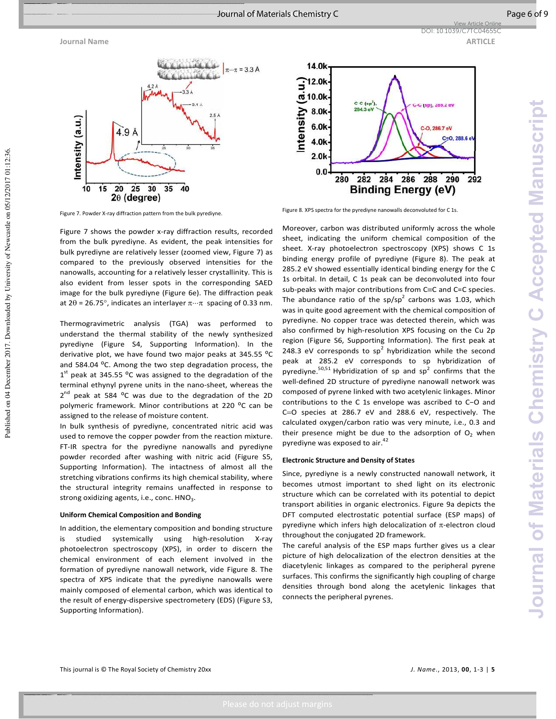Published on 04 December 2017. Downloaded by University of Newcastle on 05/12/2017 01:12:36





Figure 7. Powder X-ray diffraction pattern from the bulk pyrediyne.

Figure 7 shows the powder x-ray diffraction results, recorded from the bulk pyrediyne. As evident, the peak intensities for bulk pyrediyne are relatively lesser (zoomed view, Figure 7) as compared to the previously observed intensities for the nanowalls, accounting for a relatively lesser crystallinity. This is also evident from lesser spots in the corresponding SAED image for the bulk pyrediyne (Figure 6e). The diffraction peak at 2θ = 26.75°, indicates an interlayer  $\pi \cdots \pi$  spacing of 0.33 nm.

Thermogravimetric analysis (TGA) was performed to understand the thermal stability of the newly synthesized pyrediyne (Figure S4, Supporting Information). In the derivative plot, we have found two major peaks at 345.55 °C and 584.04 °C. Among the two step degradation process, the  $1<sup>st</sup>$  peak at 345.55 °C was assigned to the degradation of the terminal ethynyl pyrene units in the nano-sheet, whereas the 2<sup>nd</sup> peak at 584 <sup>o</sup>C was due to the degradation of the 2D polymeric framework. Minor contributions at 220 °C can be assigned to the release of moisture content.

In bulk synthesis of pyrediyne, concentrated nitric acid was used to remove the copper powder from the reaction mixture. FT-IR spectra for the pyrediyne nanowalls and pyrediyne powder recorded after washing with nitric acid (Figure S5, Supporting Information). The intactness of almost all the stretching vibrations confirms its high chemical stability, where the structural integrity remains unaffected in response to strong oxidizing agents, i.e., conc.  $HNO<sub>3</sub>$ .

#### **Uniform Chemical Composition and Bonding**

In addition, the elementary composition and bonding structure is studied systemically using high-resolution X-ray photoelectron spectroscopy (XPS), in order to discern the chemical environment of each element involved in the formation of pyrediyne nanowall network, vide Figure 8. The spectra of XPS indicate that the pyrediyne nanowalls were mainly composed of elemental carbon, which was identical to the result of energy-dispersive spectrometery (EDS) (Figure S3, Supporting Information).

Figure 8. XPS spectra for the pyrediyne nanowalls deconvoluted for C 1s.

Moreover, carbon was distributed uniformly across the whole sheet, indicating the uniform chemical composition of the sheet. X-ray photoelectron spectroscopy (XPS) shows C 1s binding energy profile of pyrediyne (Figure 8). The peak at 285.2 eV showed essentially identical binding energy for the C 1s orbital. In detail, C 1s peak can be deconvoluted into four sub-peaks with major contributions from C≡C and C=C species. The abundance ratio of the sp/sp<sup>2</sup> carbons was 1.03, which was in quite good agreement with the chemical composition of pyrediyne. No copper trace was detected therein, which was also confirmed by high-resolution XPS focusing on the Cu 2p region (Figure S6, Supporting Information). The first peak at 248.3 eV corresponds to  $sp^2$  hybridization while the second peak at 285.2 eV corresponds to sp hybridization of pyrediyne.<sup>50,51</sup> Hybridization of sp and sp<sup>2</sup> confirms that the well-defined 2D structure of pyrediyne nanowall network was composed of pyrene linked with two acetylenic linkages. Minor contributions to the C 1s envelope was ascribed to C−O and C=O species at 286.7 eV and 288.6 eV, respectively. The calculated oxygen/carbon ratio was very minute, i.e., 0.3 and their presence might be due to the adsorption of  $O<sub>2</sub>$  when pyrediyne was exposed to air.<sup>42</sup>

#### **Electronic Structure and Density of States**

Since, pyrediyne is a newly constructed nanowall network, it becomes utmost important to shed light on its electronic structure which can be correlated with its potential to depict transport abilities in organic electronics. Figure 9a depicts the DFT computed electrostatic potential surface (ESP maps) of pyrediyne which infers high delocalization of π-electron cloud throughout the conjugated 2D framework.

The careful analysis of the ESP maps further gives us a clear picture of high delocalization of the electron densities at the diacetylenic linkages as compared to the peripheral pyrene surfaces. This confirms the significantly high coupling of charge densities through bond along the acetylenic linkages that connects the peripheral pyrenes.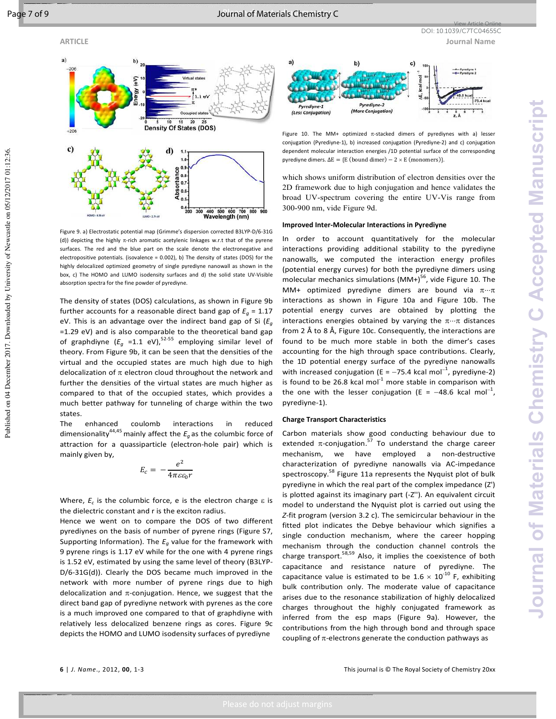

Figure 9. a) Electrostatic potential map (Grimme's dispersion corrected B3LYP-D/6-31G (d)) depicting the highly  $\pi$ -rich aromatic acetylenic linkages w.r.t that of the pyrene surfaces. The red and the blue part on the scale denote the electronegative and electropositive potentials. (isovalence  $= 0.002$ ), b) The density of states (DOS) for the highly delocalized optimized geometry of single pyrediyne nanowall as shown in the box, c) The HOMO and LUMO isodensity surfaces and d) the solid state UV-Visible absorption spectra for the fine powder of pyrediyne.

The density of states (DOS) calculations, as shown in Figure 9b further accounts for a reasonable direct band gap of  $E_q = 1.17$ eV. This is an advantage over the indirect band gap of Si (*E<sup>g</sup>* =1.29 eV) and is also comparable to the theoretical band gap of graphdiyne  $(E_q = 1.1 \text{ eV})$ ,<sup>52-55</sup> employing similar level of theory. From Figure 9b, it can be seen that the densities of the virtual and the occupied states are much high due to high delocalization of  $\pi$  electron cloud throughout the network and further the densities of the virtual states are much higher as compared to that of the occupied states, which provides a much better pathway for tunneling of charge within the two states.

The enhanced coulomb interactions in reduced dimensionality<sup>44,45</sup> mainly affect the  $E_q$  as the columbic force of attraction for a quassiparticle (electron-hole pair) which is mainly given by,

$$
E_c = -\frac{e^2}{4\pi\varepsilon\varepsilon_0 r}
$$

Where,  $E_c$  is the columbic force, e is the electron charge ε is the dielectric constant and r is the exciton radius.

Hence we went on to compare the DOS of two different pyrediynes on the basis of number of pyrene rings (Figure S7, Supporting Information). The *Eg* value for the framework with 9 pyrene rings is 1.17 eV while for the one with 4 pyrene rings is 1.52 eV, estimated by using the same level of theory (B3LYP-D/6-31G(d)). Clearly the DOS became much improved in the network with more number of pyrene rings due to high delocalization and  $\pi$ -conjugation. Hence, we suggest that the direct band gap of pyrediyne network with pyrenes as the core is a much improved one compared to that of graphdiyne with relatively less delocalized benzene rings as cores. Figure 9c depicts the HOMO and LUMO isodensity surfaces of pyrediyne



Figure 10. The MM+ optimized  $\pi$ -stacked dimers of pyrediynes with a) lesser conjugation (Pyrediyne-1), b) increased conjugation (Pyrediyne-2) and c) conjugation dependent molecular interaction energies /1D potential surface of the corresponding pyrediyne dimers.  $\Delta E = \{E \text{ (bound dimer)} - 2 \times E \text{ (monomers)}\}.$ 

which shows uniform distribution of electron densities over the 2D framework due to high conjugation and hence validates the broad UV-spectrum covering the entire UV-Vis range from 300-900 nm, vide Figure 9d.

#### **Improved Inter-Molecular Interactions in Pyrediyne**

In order to account quantitatively for the molecular interactions providing additional stability to the pyrediyne nanowalls, we computed the interaction energy profiles (potential energy curves) for both the pyrediyne dimers using molecular mechanics simulations  $(MM+)^{56}$ , vide Figure 10. The MM+ optimized pyrediyne dimers are bound via  $\pi \cdot \cdot \pi$ interactions as shown in Figure 10a and Figure 10b. The potential energy curves are obtained by plotting the interactions energies obtained by varying the  $\pi \cdot \cdot \pi$  distances from 2 Å to 8 Å, Figure 10c. Consequently, the interactions are found to be much more stable in both the dimer's cases accounting for the high through space contributions. Clearly, the 1D potential energy surface of the pyrediyne nanowalls with increased conjugation (E = -75.4 kcal mol<sup>-1</sup>, pyrediyne-2) is found to be 26.8 kcal mol $^{-1}$  more stable in comparison with the one with the lesser conjugation (E =  $-48.6$  kcal mol<sup>-1</sup>, pyrediyne-1).

#### **Charge Transport Characteristics**

Carbon materials show good conducting behaviour due to extended  $\pi$ -conjugation.<sup>57</sup> To understand the charge career mechanism, we have employed a non-destructive characterization of pyrediyne nanowalls via AC-impedance spectroscopy.<sup>58</sup> Figure 11a represents the Nyquist plot of bulk pyrediyne in which the real part of the complex impedance (Z') is plotted against its imaginary part (-Z''). An equivalent circuit model to understand the Nyquist plot is carried out using the *Z*-fit program (version 3.2 c). The semicircular behaviour in the fitted plot indicates the Debye behaviour which signifies a single conduction mechanism, where the career hopping mechanism through the conduction channel controls the charge transport.<sup>58,59</sup> Also, it implies the coexistence of both capacitance and resistance nature of pyrediyne. The capacitance value is estimated to be  $1.6 \times 10^{-10}$  F, exhibiting bulk contribution only. The moderate value of capacitance arises due to the resonance stabilization of highly delocalized charges throughout the highly conjugated framework as inferred from the esp maps (Figure 9a). However, the contributions from the high through bond and through space coupling of  $\pi$ -electrons generate the conduction pathways as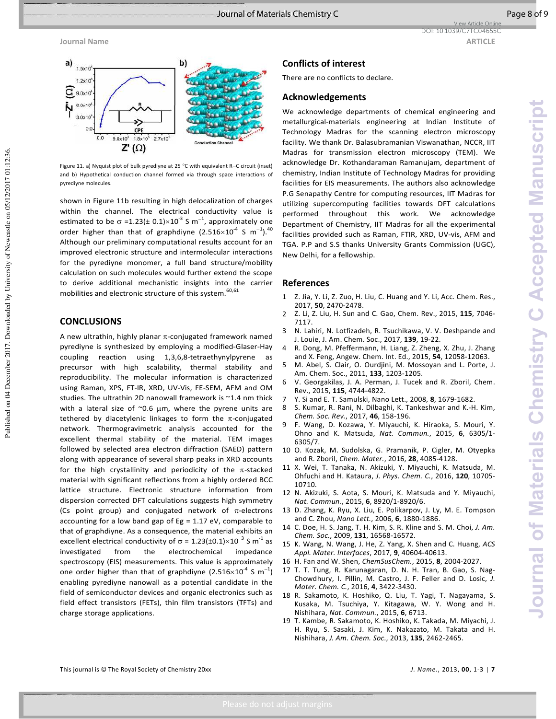**Journal of Materials Chemistry C Accepted Manuscript**

**Journal of Materials Chemistry C Accepted Manuscrip** 



Figure 11. a) Nyquist plot of bulk pyrediyne at 25 °C with equivalent R−C circuit (inset) and b) Hypothetical conduction channel formed via through space interactions of pyrediyne molecules.

shown in Figure 11b resulting in high delocalization of charges within the channel. The electrical conductivity value is estimated to be  $\sigma$  =1.23(± 0.1)×10<sup>-3</sup> S m<sup>-1</sup>, approximately one order higher than that of graphdiyne (2.516×10<sup>-4</sup> S m<sup>-1</sup>).<sup>40</sup> Although our preliminary computational results account for an improved electronic structure and intermolecular interactions for the pyrediyne monomer, a full band structure/mobility calculation on such molecules would further extend the scope to derive additional mechanistic insights into the carrier mobilities and electronic structure of this system.<sup>60,61</sup>

#### **CONCLUSIONS**

A new ultrathin, highly planar  $\pi$ -conjugated framework named pyrediyne is synthesized by employing a modified-Glaser-Hay coupling reaction using 1,3,6,8-tetraethynylpyrene as precursor with high scalability, thermal stability and reproducibility. The molecular information is characterized using Raman, XPS, FT-IR, XRD, UV-Vis, FE-SEM, AFM and OM studies. The ultrathin 2D nanowall framework is ~1.4 nm thick with a lateral size of  $\sim$ 0.6  $\mu$ m, where the pyrene units are tethered by diacetylenic linkages to form the  $\pi$ -conjugated network. Thermogravimetric analysis accounted for the excellent thermal stability of the material. TEM images followed by selected area electron diffraction (SAED) pattern along with appearance of several sharp peaks in XRD accounts for the high crystallinity and periodicity of the  $\pi$ -stacked material with significant reflections from a highly ordered BCC lattice structure. Electronic structure information from dispersion corrected DFT calculations suggests high symmetry (Cs point group) and conjugated network of  $\pi$ -electrons accounting for a low band gap of Eg = 1.17 eV, comparable to that of graphdiyne. As a consequence, the material exhibits an excellent electrical conductivity of  $\sigma$  = 1.23(±0.1)×10<sup>-3</sup> S m<sup>-1</sup> as investigated from the electrochemical impedance spectroscopy (EIS) measurements. This value is approximately one order higher than that of graphdiyne (2.516×10<sup>-4</sup> S  $m^{-1}$ ) enabling pyrediyne nanowall as a potential candidate in the field of semiconductor devices and organic electronics such as field effect transistors (FETs), thin film transistors (TFTs) and charge storage applications.

#### **Conflicts of interest**

There are no conflicts to declare.

#### **Acknowledgements**

We acknowledge departments of chemical engineering and metallurgical-materials engineering at Indian Institute of Technology Madras for the scanning electron microscopy facility. We thank Dr. Balasubramanian Viswanathan, NCCR, IIT Madras for transmission electron microscopy (TEM). We acknowledge Dr. Kothandaraman Ramanujam, department of chemistry, Indian Institute of Technology Madras for providing facilities for EIS measurements. The authors also acknowledge P.G Senapathy Centre for computing resources, IIT Madras for utilizing supercomputing facilities towards DFT calculations performed throughout this work. We acknowledge Department of Chemistry, IIT Madras for all the experimental facilities provided such as Raman, FTIR, XRD, UV-vis, AFM and TGA. P.P and S.S thanks University Grants Commission (UGC), New Delhi, for a fellowship.

#### **References**

- 1 Z. Jia, Y. Li, Z. Zuo, H. Liu, C. Huang and Y. Li, Acc. Chem. Res., 2017, **50**, 2470-2478.
- 2 Z. Li, Z. Liu, H. Sun and C. Gao, Chem. Rev., 2015, **115**, 7046- 7117.
- 3 N. Lahiri, N. Lotfizadeh, R. Tsuchikawa, V. V. Deshpande and J. Louie, J. Am. Chem. Soc., 2017, **139**, 19-22.
- 4 R. Dong, M. Pfeffermann, H. Liang, Z. Zheng, X. Zhu, J. Zhang and X. Feng, Angew. Chem. Int. Ed., 2015, **54**, 12058-12063.
- 5 M. Abel, S. Clair, O. Ourdjini, M. Mossoyan and L. Porte, J. Am. Chem. Soc., 2011, **133**, 1203-1205.
- 6 V. Georgakilas, J. A. Perman, J. Tucek and R. Zboril, Chem. Rev., 2015, **115**, 4744-4822.
- 7 Y. Si and E. T. Samulski, Nano Lett., 2008, **8**, 1679-1682.
- 8 S. Kumar, R. Rani, N. Dilbaghi, K. Tankeshwar and K.-H. Kim, *Chem. Soc. Rev.*, 2017, **46**, 158-196.
- 9 F. Wang, D. Kozawa, Y. Miyauchi, K. Hiraoka, S. Mouri, Y. Ohno and K. Matsuda, *Nat. Commun.*, 2015, **6**, 6305/1- 6305/7.
- 10 O. Kozak, M. Sudolska, G. Pramanik, P. Cigler, M. Otyepka and R. Zboril, *Chem. Mater.*, 2016, **28**, 4085-4128.
- 11 X. Wei, T. Tanaka, N. Akizuki, Y. Miyauchi, K. Matsuda, M. Ohfuchi and H. Kataura, *J. Phys. Chem. C.*, 2016, **120**, 10705- 10710.
- 12 N. Akizuki, S. Aota, S. Mouri, K. Matsuda and Y. Miyauchi, *Nat. Commun.*, 2015, **6**, 8920/1-8920/6.
- 13 D. Zhang, K. Ryu, X. Liu, E. Polikarpov, J. Ly, M. E. Tompson and C. Zhou, *Nano Lett.*, 2006, **6**, 1880-1886.
- 14 C. Doe, H. S. Jang, T. H. Kim, S. R. Kline and S. M. Choi, *J. Am. Chem. Soc.*, 2009, **131**, 16568-16572.
- 15 K. Wang, N. Wang, J. He, Z. Yang, X. Shen and C. Huang, *ACS Appl. Mater. Interfaces*, 2017, **9**, 40604-40613.
- 16 H. Fan and W. Shen, *ChemSusChem.*, 2015, **8**, 2004-2027.
- 17 T. T. Tung, R. Karunagaran, D. N. H. Tran, B. Gao, S. Nag-Chowdhury, I. Pillin, M. Castro, J. F. Feller and D. Losic, *J. Mater. Chem. C.*, 2016, **4**, 3422-3430.
- 18 R. Sakamoto, K. Hoshiko, Q. Liu, T. Yagi, T. Nagayama, S. Kusaka, M. Tsuchiya, Y. Kitagawa, W. Y. Wong and H. Nishihara, *Nat. Commun.*, 2015, **6**, 6713.
- 19 T. Kambe, R. Sakamoto, K. Hoshiko, K. Takada, M. Miyachi, J. H. Ryu, S. Sasaki, J. Kim, K. Nakazato, M. Takata and H. Nishihara, *J. Am. Chem. Soc.*, 2013, **135**, 2462-2465.

Published on 04 December 2017. Downloaded by University of Newcastle on 05/12/2017 01:12:36.

Published on 04 December 2017. Downloaded by University of Newcastle on 05/12/2017 01:12:36